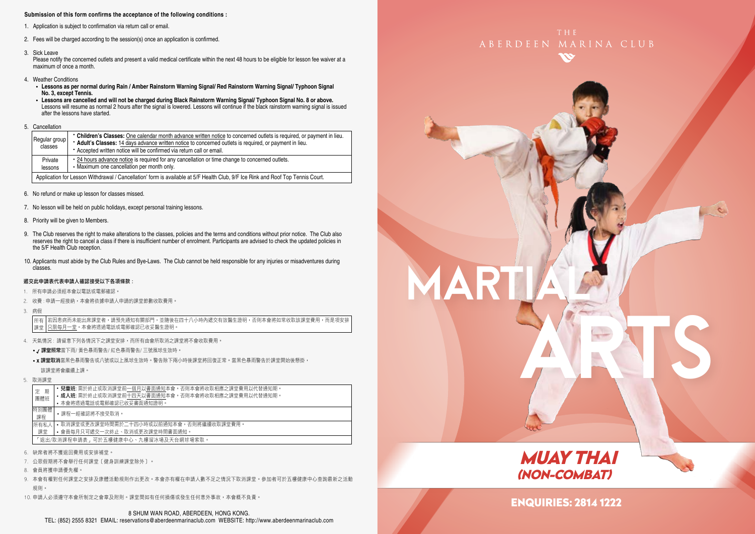### **Submission of this form confirms the acceptance of the following conditions :**

- 1. Application is subject to confirmation via return call or email.
- 2. Fees will be charged according to the session(s) once an application is confirmed.
- 3. Sick Leave

Please notify the concerned outlets and present a valid medical certificate within the next 48 hours to be eligible for lesson fee waiver at a maximum of once a month.

- 4. Weather Conditions
	- **Lessons as per normal during Rain / Amber Rainstorm Warning Signal/ Red Rainstorm Warning Signal/ Typhoon Signal No. 3, except Tennis.**
	- **Lessons are cancelled and will not be charged during Black Rainstorm Warning Signal/ Typhoon Signal No. 8 or above.** Lessons will resume as normal 2 hours after the signal is lowered. Lessons will continue if the black rainstorm warning signal is issued after the lessons have started.
- 5. Cancellation

|  | Regular group<br>classes                                                                                                        | • Children's Classes: One calendar month advance written notice to concerned outlets is required, or payment in lieu.<br>* Adult's Classes: 14 days advance written notice to concerned outlets is required, or payment in lieu.<br>* Accepted written notice will be confirmed via return call or email. |  |  |  |
|--|---------------------------------------------------------------------------------------------------------------------------------|-----------------------------------------------------------------------------------------------------------------------------------------------------------------------------------------------------------------------------------------------------------------------------------------------------------|--|--|--|
|  | Private<br>lessons                                                                                                              | • 24 hours advance notice is required for any cancellation or time change to concerned outlets.<br>• Maximum one cancellation per month only.                                                                                                                                                             |  |  |  |
|  | Application for Lesson Withdrawal / Cancellation' form is available at 5/F Health Club, 9/F Ice Rink and Roof Top Tennis Court. |                                                                                                                                                                                                                                                                                                           |  |  |  |

- 6. No refund or make up lesson for classes missed.
- 7. No lesson will be held on public holidays, except personal training lessons.
- 8. Priority will be given to Members.
- 9. The Club reserves the right to make alterations to the classes, policies and the terms and conditions without prior notice. The Club also reserves the right to cancel a class if there is insufficient number of enrolment. Participants are advised to check the updated policies in the 5/F Health Club reception.
- 10. Applicants must abide by the Club Rules and Bye-Laws. The Club cannot be held responsible for any injuries or misadventures during classes.

### 遞交此申請表代表申請人確認接受以下各項條款 :

- 1. 所有申請必須經本會以電話或電郵確認。
- 2. 收費 : 申請一經接納,本會將依據申請人申請的課堂節數收取費用。
- 3. 病假

若因患病而未能出席課堂者,請預先通知有關部門,並隨後在四十八小時內遞交有效醫生證明,否則本會將如常收取該課堂費用,而是項安排 只限每月一堂。本會將透過電話或電郵確認已收妥醫生證明。 所有 課堂

- 4. 天氣情況 : 請留意下列各情況下之課堂安排,而所有由會所取消之課堂將不會收取費用。
	- / 課堂照常當下雨/ 黃色暴雨警告/ 紅色暴雨警告/ 三號風球生效時。
	- x 課堂取消當黑色暴雨警告或八號或以上風球生效時。警告除下兩小時後課堂將回復正常。當黑色暴雨警告於課堂開始後懸掛, 該課堂將會繼續上課。
- 5. 取消課堂

|  | 期<br>定     | <b>兒童班:</b> 需於終止或取消課堂前一個月以書面通知本會。否則本會將收取相應之課堂費用以代替通知期。 |
|--|------------|--------------------------------------------------------|
|  | 團體班        | • 成人班: 需於終止或取消課堂前十四天以書面通知本會。否則本會將收取相應之課堂費用以代替通知期。      |
|  |            | • 本會將透過電話或電郵確認已收妥書面通知證明。                               |
|  | 特別團體<br>課程 | •課程一經確認將不接受取消。                                         |
|  | 所有私人       | • 取消課堂或更改課堂時間需於二十四小時或以前捅知本會,否則將繼續收取課堂費用。               |
|  | 課堂         | • 會員每月只可遞交一次終止、取消或更改課堂時間書面通知。                          |
|  |            | 「退出/取消課程申請表」可於五樓健康中心、九樓溜冰場及天台網球場索取。                    |
|  |            |                                                        |

- 6. 缺席者將不獲退回費用或安排補堂。
- 7. 公眾假期將不會舉行任何課堂﹝健身訓練課堂除外﹞。
- 8. 會員將獲申請優先權。
- 9. 本會有權對任何課堂之安排及康體活動規則作出更改。本會亦有權在申請人數不足之情況下取消課堂。參加者可於五樓健康中心查詢最新之活動 規則。
- 10. 申請人必須遵守本會所制定之會章及附則。課堂間如有任何損傷或發生任何意外事故,本會概不負責。





MARTI

ARTS

## ENQUIRIES: 2814 1222